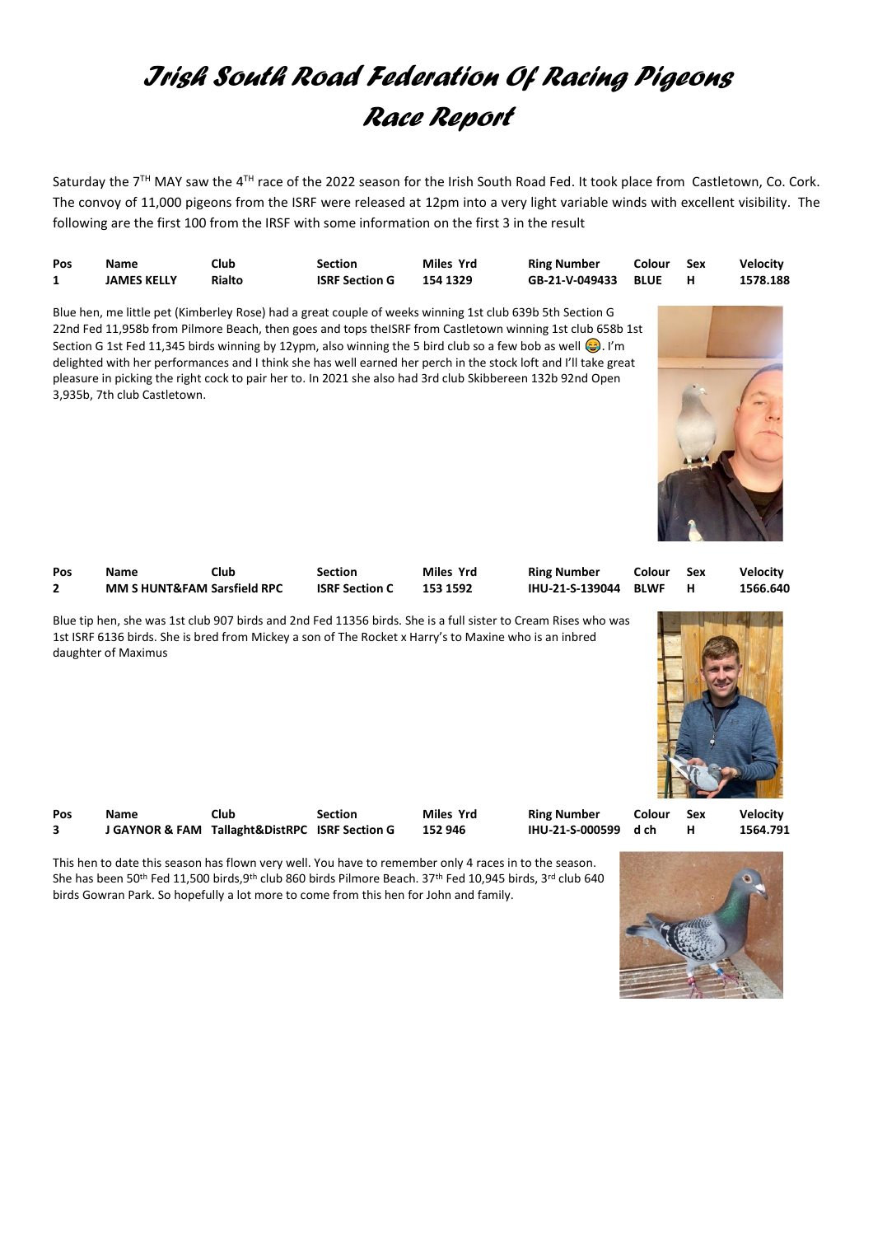## *Irish South Road Federation Of Racing Pigeons Race Report*

Saturday the 7<sup>TH</sup> MAY saw the 4<sup>TH</sup> race of the 2022 season for the Irish South Road Fed. It took place from Castletown, Co. Cork. The convoy of 11,000 pigeons from the ISRF were released at 12pm into a very light variable winds with excellent visibility. The following are the first 100 from the IRSF with some information on the first 3 in the result

| Pos | Name               | Club   | Section               | Miles Yrd | <b>Ring Number</b>  | Colour | – Sex | <b>Velocity</b> |
|-----|--------------------|--------|-----------------------|-----------|---------------------|--------|-------|-----------------|
|     | <b>JAMES KELLY</b> | Rialto | <b>ISRF Section G</b> | 154 1329  | GB-21-V-049433 BLUE |        |       | 1578.188        |

Blue hen, me little pet (Kimberley Rose) had a great couple of weeks winning 1st club 639b 5th Section G 22nd Fed 11,958b from Pilmore Beach, then goes and tops theISRF from Castletown winning 1st club 658b 1st Section G 1st Fed 11,345 birds winning by 12ypm, also winning the 5 bird club so a few bob as well  $\odot$ . I'm delighted with her performances and I think she has well earned her perch in the stock loft and I'll take great pleasure in picking the right cock to pair her to. In 2021 she also had 3rd club Skibbereen 132b 92nd Open 3,935b, 7th club Castletown.



| Pos | <b>Name</b>                            | Club | Section               | Miles Yrd | <b>Ring Number</b>   | Colour | – Sex | <b>Velocity</b> |
|-----|----------------------------------------|------|-----------------------|-----------|----------------------|--------|-------|-----------------|
|     | <b>MM S HUNT&amp;FAM Sarsfield RPC</b> |      | <b>ISRF Section C</b> | 153 1592  | IHU-21-S-139044 BLWF |        |       | 1566.640        |
|     |                                        |      |                       |           |                      |        |       |                 |

Blue tip hen, she was 1st club 907 birds and 2nd Fed 11356 birds. She is a full sister to Cream Rises who was 1st ISRF 6136 birds. She is bred from Mickey a son of The Rocket x Harry's to Maxine who is an inbred daughter of Maximus



| Pos | <b>Name</b> | Club                                           | Section | Miles Yrd | <b>Ring Number</b>   | Colour Sex | Velocity |
|-----|-------------|------------------------------------------------|---------|-----------|----------------------|------------|----------|
|     |             | J GAYNOR & FAM Tallaght&DistRPC ISRF Section G |         | 152 946   | IHU-21-S-000599 d ch |            | 1564.791 |

This hen to date this season has flown very well. You have to remember only 4 races in to the season. She has been 50<sup>th</sup> Fed 11,500 birds,9<sup>th</sup> club 860 birds Pilmore Beach. 37<sup>th</sup> Fed 10,945 birds, 3<sup>rd</sup> club 640 birds Gowran Park. So hopefully a lot more to come from this hen for John and family.

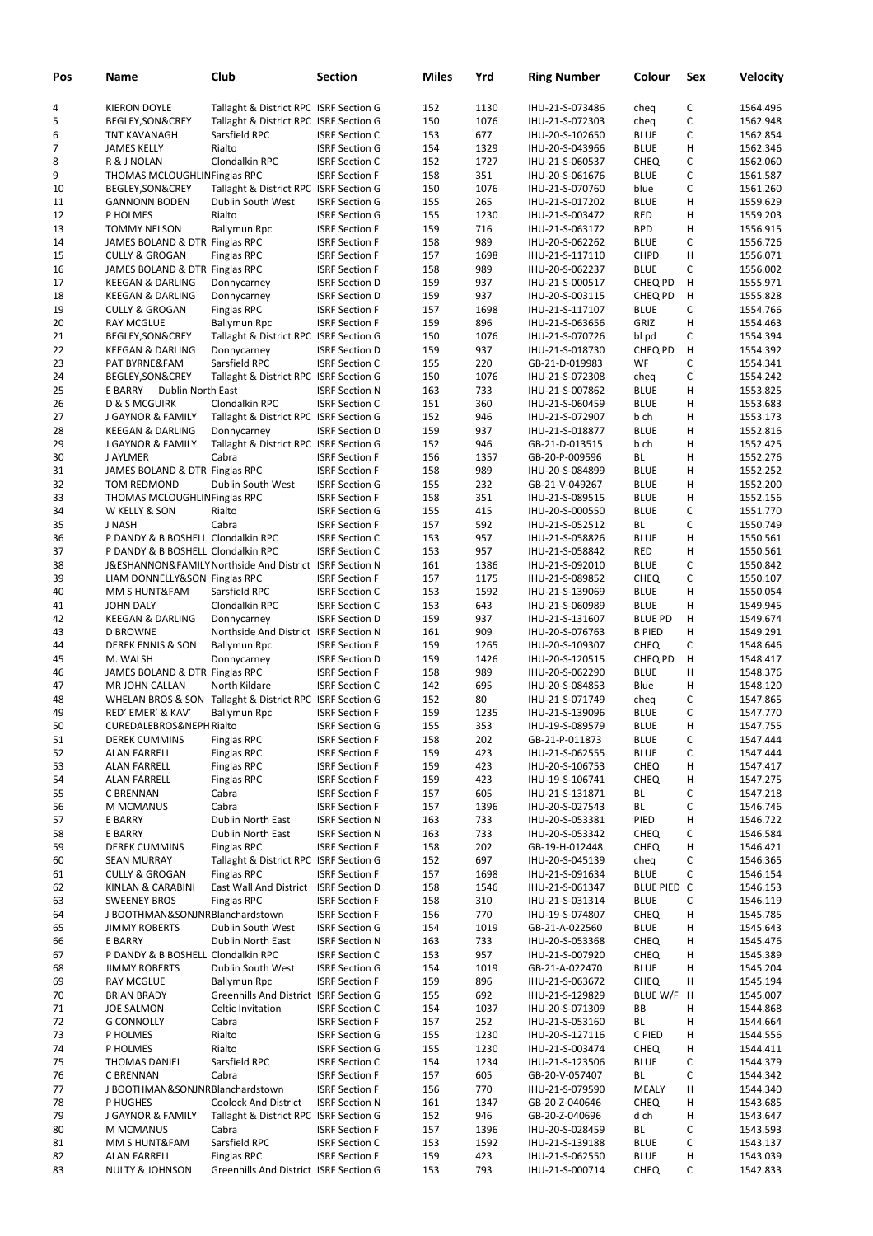| Pos | Name                                | Club                                                     | <b>Section</b>        | Miles | Yrd  | <b>Ring Number</b> | Colour         | Sex         | <b>Velocity</b> |
|-----|-------------------------------------|----------------------------------------------------------|-----------------------|-------|------|--------------------|----------------|-------------|-----------------|
| 4   | <b>KIERON DOYLE</b>                 | Tallaght & District RPC ISRF Section G                   |                       | 152   | 1130 | IHU-21-S-073486    | cheq           | C           | 1564.496        |
| 5   | BEGLEY, SON&CREY                    | Tallaght & District RPC ISRF Section G                   |                       | 150   | 1076 | IHU-21-S-072303    | cheq           | C           | 1562.948        |
| 6   | TNT KAVANAGH                        | Sarsfield RPC                                            | <b>ISRF Section C</b> | 153   | 677  | IHU-20-S-102650    | <b>BLUE</b>    | C           | 1562.854        |
| 7   | <b>JAMES KELLY</b>                  | Rialto                                                   | <b>ISRF Section G</b> | 154   | 1329 | IHU-20-S-043966    | <b>BLUE</b>    | н           | 1562.346        |
| 8   | R & J NOLAN                         | Clondalkin RPC                                           | <b>ISRF Section C</b> | 152   | 1727 | IHU-21-S-060537    | <b>CHEQ</b>    | $\mathsf C$ | 1562.060        |
| 9   | THOMAS MCLOUGHLINFinglas RPC        |                                                          | <b>ISRF Section F</b> | 158   | 351  | IHU-20-S-061676    | <b>BLUE</b>    | C           | 1561.587        |
|     | BEGLEY, SON&CREY                    | Tallaght & District RPC ISRF Section G                   |                       | 150   | 1076 |                    | blue           | C           | 1561.260        |
| 10  |                                     |                                                          |                       |       |      | IHU-21-S-070760    |                | H           |                 |
| 11  | <b>GANNONN BODEN</b>                | Dublin South West                                        | <b>ISRF Section G</b> | 155   | 265  | IHU-21-S-017202    | <b>BLUE</b>    |             | 1559.629        |
| 12  | P HOLMES                            | Rialto                                                   | <b>ISRF Section G</b> | 155   | 1230 | IHU-21-S-003472    | RED            | н           | 1559.203        |
| 13  | <b>TOMMY NELSON</b>                 | Ballymun Rpc                                             | <b>ISRF Section F</b> | 159   | 716  | IHU-21-S-063172    | <b>BPD</b>     | Н           | 1556.915        |
| 14  | JAMES BOLAND & DTR Finglas RPC      |                                                          | <b>ISRF Section F</b> | 158   | 989  | IHU-20-S-062262    | <b>BLUE</b>    | C           | 1556.726        |
| 15  | <b>CULLY &amp; GROGAN</b>           | <b>Finglas RPC</b>                                       | <b>ISRF Section F</b> | 157   | 1698 | IHU-21-S-117110    | CHPD           | Н           | 1556.071        |
| 16  | JAMES BOLAND & DTR Finglas RPC      |                                                          | <b>ISRF Section F</b> | 158   | 989  | IHU-20-S-062237    | <b>BLUE</b>    | C           | 1556.002        |
| 17  | <b>KEEGAN &amp; DARLING</b>         | Donnycarney                                              | <b>ISRF Section D</b> | 159   | 937  | IHU-21-S-000517    | CHEQ PD        | н           | 1555.971        |
| 18  | <b>KEEGAN &amp; DARLING</b>         | Donnycarney                                              | <b>ISRF Section D</b> | 159   | 937  | IHU-20-S-003115    | CHEQ PD        | н           | 1555.828        |
| 19  | <b>CULLY &amp; GROGAN</b>           | <b>Finglas RPC</b>                                       | <b>ISRF Section F</b> | 157   | 1698 | IHU-21-S-117107    | <b>BLUE</b>    | C           | 1554.766        |
| 20  | <b>RAY MCGLUE</b>                   | <b>Ballymun Rpc</b>                                      | <b>ISRF Section F</b> | 159   | 896  | IHU-21-S-063656    | GRIZ           | н           | 1554.463        |
| 21  | BEGLEY, SON&CREY                    | Tallaght & District RPC ISRF Section G                   |                       | 150   | 1076 | IHU-21-S-070726    | bl pd          | C           | 1554.394        |
| 22  | <b>KEEGAN &amp; DARLING</b>         | Donnycarney                                              | <b>ISRF Section D</b> | 159   | 937  | IHU-21-S-018730    | CHEQ PD        | н           | 1554.392        |
| 23  | PAT BYRNE&FAM                       | Sarsfield RPC                                            | <b>ISRF Section C</b> | 155   | 220  | GB-21-D-019983     | WF             | C           | 1554.341        |
| 24  | BEGLEY, SON&CREY                    | Tallaght & District RPC ISRF Section G                   |                       | 150   | 1076 | IHU-21-S-072308    | cheq           | C           | 1554.242        |
| 25  | E BARRY<br><b>Dublin North East</b> |                                                          | <b>ISRF Section N</b> | 163   | 733  | IHU-21-S-007862    | <b>BLUE</b>    | Н           | 1553.825        |
| 26  | <b>D &amp; S MCGUIRK</b>            | Clondalkin RPC                                           | <b>ISRF Section C</b> | 151   | 360  | IHU-21-S-060459    | <b>BLUE</b>    | H           | 1553.683        |
| 27  | J GAYNOR & FAMILY                   | Tallaght & District RPC ISRF Section G                   |                       | 152   | 946  | IHU-21-S-072907    | b ch           | Н           | 1553.173        |
| 28  | <b>KEEGAN &amp; DARLING</b>         | Donnycarney                                              | <b>ISRF Section D</b> | 159   | 937  | IHU-21-S-018877    | <b>BLUE</b>    | Н           | 1552.816        |
| 29  | J GAYNOR & FAMILY                   | Tallaght & District RPC ISRF Section G                   |                       | 152   | 946  | GB-21-D-013515     | b ch           | Н           | 1552.425        |
| 30  | J AYLMER                            | Cabra                                                    | <b>ISRF Section F</b> | 156   | 1357 | GB-20-P-009596     | BL             | Н           | 1552.276        |
| 31  | JAMES BOLAND & DTR Finglas RPC      |                                                          | <b>ISRF Section F</b> | 158   | 989  | IHU-20-S-084899    | <b>BLUE</b>    | н           | 1552.252        |
| 32  | <b>TOM REDMOND</b>                  | Dublin South West                                        | <b>ISRF Section G</b> | 155   | 232  | GB-21-V-049267     | <b>BLUE</b>    | Н           | 1552.200        |
| 33  | THOMAS MCLOUGHLINFinglas RPC        |                                                          | <b>ISRF Section F</b> | 158   | 351  | IHU-21-S-089515    | <b>BLUE</b>    | Н           | 1552.156        |
| 34  | W KELLY & SON                       | Rialto                                                   | <b>ISRF Section G</b> | 155   | 415  | IHU-20-S-000550    | <b>BLUE</b>    | C           | 1551.770        |
| 35  | J NASH                              | Cabra                                                    | <b>ISRF Section F</b> | 157   | 592  | IHU-21-S-052512    | BL             | C           | 1550.749        |
| 36  | P DANDY & B BOSHELL Clondalkin RPC  |                                                          | <b>ISRF Section C</b> | 153   | 957  | IHU-21-S-058826    | <b>BLUE</b>    | Н           | 1550.561        |
| 37  | P DANDY & B BOSHELL Clondalkin RPC  |                                                          | <b>ISRF Section C</b> | 153   | 957  | IHU-21-S-058842    | <b>RED</b>     | Н           | 1550.561        |
| 38  |                                     | J&ESHANNON&FAMILY Northside And District ISRF Section N  |                       | 161   | 1386 | IHU-21-S-092010    | <b>BLUE</b>    | C           | 1550.842        |
| 39  | LIAM DONNELLY&SON Finglas RPC       |                                                          | <b>ISRF Section F</b> | 157   | 1175 | IHU-21-S-089852    | <b>CHEQ</b>    | C           | 1550.107        |
| 40  | MM S HUNT&FAM                       | Sarsfield RPC                                            | <b>ISRF Section C</b> | 153   | 1592 | IHU-21-S-139069    | <b>BLUE</b>    | Н           | 1550.054        |
| 41  | <b>JOHN DALY</b>                    | Clondalkin RPC                                           | <b>ISRF Section C</b> | 153   | 643  | IHU-21-S-060989    | <b>BLUE</b>    | н           | 1549.945        |
| 42  | <b>KEEGAN &amp; DARLING</b>         | Donnycarney                                              | <b>ISRF Section D</b> | 159   | 937  | IHU-21-S-131607    | <b>BLUE PD</b> | н           | 1549.674        |
| 43  | <b>D BROWNE</b>                     | Northside And District ISRF Section N                    |                       | 161   | 909  | IHU-20-S-076763    | <b>B PIED</b>  | н           | 1549.291        |
| 44  | <b>DEREK ENNIS &amp; SON</b>        | <b>Ballymun Rpc</b>                                      | <b>ISRF Section F</b> | 159   | 1265 | IHU-20-S-109307    | <b>CHEQ</b>    | C           | 1548.646        |
| 45  | M. WALSH                            | Donnycarney                                              | <b>ISRF Section D</b> | 159   | 1426 | IHU-20-S-120515    | CHEQ PD        | н           | 1548.417        |
| 46  | JAMES BOLAND & DTR Finglas RPC      |                                                          | <b>ISRF Section F</b> | 158   | 989  | IHU-20-S-062290    | <b>BLUE</b>    | Н           | 1548.376        |
| 47  | MR JOHN CALLAN                      | North Kildare                                            | <b>ISRF Section C</b> | 142   | 695  | IHU-20-S-084853    | Blue           | н           | 1548.120        |
| 48  |                                     | WHELAN BROS & SON Tallaght & District RPC ISRF Section G |                       | 152   | 80   | IHU-21-S-071749    | cheq           | С           | 1547.865        |
| 49  | RED' EMER' & KAV'                   | Ballymun Rpc                                             | <b>ISRF Section F</b> | 159   | 1235 | IHU-21-S-139096    | <b>BLUE</b>    | С           | 1547.770        |
| 50  | CUREDALEBROS&NEPH Rialto            |                                                          | <b>ISRF Section G</b> | 155   | 353  | IHU-19-S-089579    | <b>BLUE</b>    | н           | 1547.755        |
| 51  | <b>DEREK CUMMINS</b>                | Finglas RPC                                              | <b>ISRF Section F</b> | 158   | 202  | GB-21-P-011873     | <b>BLUE</b>    | С           | 1547.444        |
| 52  | <b>ALAN FARRELL</b>                 | Finglas RPC                                              | <b>ISRF Section F</b> | 159   | 423  | IHU-21-S-062555    | <b>BLUE</b>    | С           | 1547.444        |
| 53  | <b>ALAN FARRELL</b>                 | <b>Finglas RPC</b>                                       | <b>ISRF Section F</b> | 159   | 423  | IHU-20-S-106753    | <b>CHEQ</b>    | Н           | 1547.417        |
| 54  |                                     | Finglas RPC                                              | <b>ISRF Section F</b> | 159   | 423  |                    | <b>CHEQ</b>    | Н           | 1547.275        |
|     | <b>ALAN FARRELL</b>                 |                                                          |                       |       |      | IHU-19-S-106741    |                |             |                 |
| 55  | C BRENNAN                           | Cabra                                                    | <b>ISRF Section F</b> | 157   | 605  | IHU-21-S-131871    | BL             | $\mathsf C$ | 1547.218        |
| 56  | <b>M MCMANUS</b>                    | Cabra                                                    | <b>ISRF Section F</b> | 157   | 1396 | IHU-20-S-027543    | BL             | C           | 1546.746        |
| 57  | E BARRY                             | Dublin North East                                        | <b>ISRF Section N</b> | 163   | 733  | IHU-20-S-053381    | PIED           | Н           | 1546.722        |
| 58  | E BARRY                             | Dublin North East                                        | <b>ISRF Section N</b> | 163   | 733  | IHU-20-S-053342    | <b>CHEQ</b>    | С           | 1546.584        |
| 59  | <b>DEREK CUMMINS</b>                | <b>Finglas RPC</b>                                       | <b>ISRF Section F</b> | 158   | 202  | GB-19-H-012448     | <b>CHEQ</b>    | Н           | 1546.421        |
| 60  | <b>SEAN MURRAY</b>                  | Tallaght & District RPC ISRF Section G                   |                       | 152   | 697  | IHU-20-S-045139    | cheq           | С           | 1546.365        |
| 61  | <b>CULLY &amp; GROGAN</b>           | <b>Finglas RPC</b>                                       | <b>ISRF Section F</b> | 157   | 1698 | IHU-21-S-091634    | <b>BLUE</b>    | С           | 1546.154        |
| 62  | KINLAN & CARABINI                   | East Wall And District ISRF Section D                    |                       | 158   | 1546 | IHU-21-S-061347    | BLUE PIED C    |             | 1546.153        |
| 63  | <b>SWEENEY BROS</b>                 | <b>Finglas RPC</b>                                       | <b>ISRF Section F</b> | 158   | 310  | IHU-21-S-031314    | <b>BLUE</b>    | С           | 1546.119        |
| 64  | J BOOTHMAN&SONJNRBlanchardstown     |                                                          | <b>ISRF Section F</b> | 156   | 770  | IHU-19-S-074807    | <b>CHEQ</b>    | н           | 1545.785        |
| 65  | <b>JIMMY ROBERTS</b>                | Dublin South West                                        | <b>ISRF Section G</b> | 154   | 1019 | GB-21-A-022560     | <b>BLUE</b>    | н           | 1545.643        |
| 66  | E BARRY                             | Dublin North East                                        | <b>ISRF Section N</b> | 163   | 733  | IHU-20-S-053368    | <b>CHEQ</b>    | н           | 1545.476        |
| 67  | P DANDY & B BOSHELL Clondalkin RPC  |                                                          | <b>ISRF Section C</b> | 153   | 957  | IHU-21-S-007920    | <b>CHEQ</b>    | н           | 1545.389        |
| 68  | <b>JIMMY ROBERTS</b>                | Dublin South West                                        | <b>ISRF Section G</b> | 154   | 1019 | GB-21-A-022470     | <b>BLUE</b>    | н           | 1545.204        |
| 69  | <b>RAY MCGLUE</b>                   | <b>Ballymun Rpc</b>                                      | <b>ISRF Section F</b> | 159   | 896  | IHU-21-S-063672    | <b>CHEQ</b>    | Н           | 1545.194        |
| 70  | <b>BRIAN BRADY</b>                  | Greenhills And District ISRF Section G                   |                       | 155   | 692  | IHU-21-S-129829    | BLUE W/F       | H           | 1545.007        |
| 71  | <b>JOE SALMON</b>                   | Celtic Invitation                                        | <b>ISRF Section C</b> | 154   | 1037 | IHU-20-S-071309    | BB             | н           | 1544.868        |
| 72  | <b>G CONNOLLY</b>                   | Cabra                                                    | <b>ISRF Section F</b> | 157   | 252  | IHU-21-S-053160    | BL             | Н           | 1544.664        |
| 73  | P HOLMES                            | Rialto                                                   | <b>ISRF Section G</b> | 155   | 1230 | IHU-20-S-127116    | C PIED         | н           | 1544.556        |
| 74  | P HOLMES                            | Rialto                                                   | <b>ISRF Section G</b> | 155   | 1230 | IHU-21-S-003474    | <b>CHEQ</b>    | Н           | 1544.411        |
| 75  | THOMAS DANIEL                       | Sarsfield RPC                                            | <b>ISRF Section C</b> | 154   | 1234 | IHU-21-S-123506    | <b>BLUE</b>    | C           | 1544.379        |
| 76  | C BRENNAN                           | Cabra                                                    | <b>ISRF Section F</b> | 157   | 605  | GB-20-V-057407     | BL             | C           | 1544.342        |
| 77  | J BOOTHMAN&SONJNRBlanchardstown     |                                                          | <b>ISRF Section F</b> | 156   | 770  | IHU-21-S-079590    | <b>MEALY</b>   | Н           | 1544.340        |
| 78  | P HUGHES                            | <b>Coolock And District</b>                              | <b>ISRF Section N</b> | 161   | 1347 | GB-20-Z-040646     | <b>CHEQ</b>    | н           | 1543.685        |
| 79  | J GAYNOR & FAMILY                   | Tallaght & District RPC ISRF Section G                   |                       | 152   | 946  | GB-20-Z-040696     | d ch           | н           | 1543.647        |
| 80  | M MCMANUS                           | Cabra                                                    | <b>ISRF Section F</b> | 157   | 1396 | IHU-20-S-028459    | BL             | С           | 1543.593        |
| 81  | MM S HUNT&FAM                       | Sarsfield RPC                                            | <b>ISRF Section C</b> | 153   | 1592 | IHU-21-S-139188    | <b>BLUE</b>    | С           | 1543.137        |
| 82  | <b>ALAN FARRELL</b>                 | <b>Finglas RPC</b>                                       | <b>ISRF Section F</b> | 159   | 423  | IHU-21-S-062550    | <b>BLUE</b>    | н           | 1543.039        |
| 83  | <b>NULTY &amp; JOHNSON</b>          | Greenhills And District ISRF Section G                   |                       | 153   | 793  | IHU-21-S-000714    | CHEQ           | С           | 1542.833        |
|     |                                     |                                                          |                       |       |      |                    |                |             |                 |